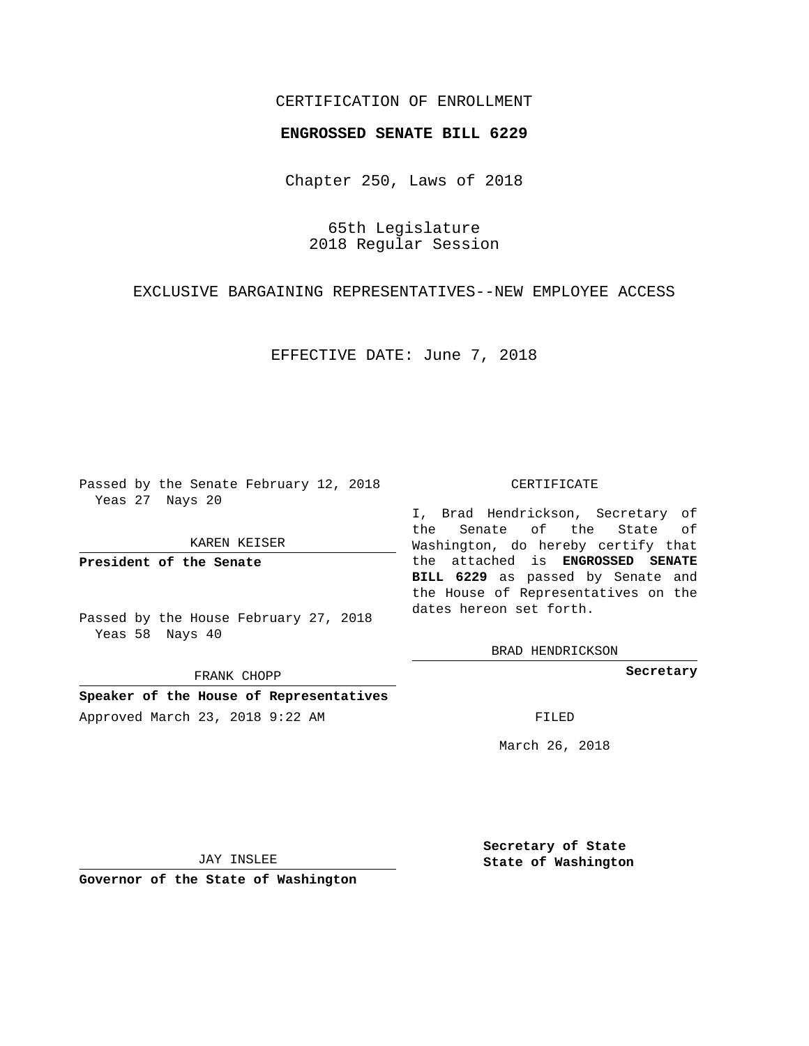# CERTIFICATION OF ENROLLMENT

### **ENGROSSED SENATE BILL 6229**

Chapter 250, Laws of 2018

65th Legislature 2018 Regular Session

EXCLUSIVE BARGAINING REPRESENTATIVES--NEW EMPLOYEE ACCESS

EFFECTIVE DATE: June 7, 2018

Passed by the Senate February 12, 2018 Yeas 27 Nays 20

KAREN KEISER

**President of the Senate**

Passed by the House February 27, 2018 Yeas 58 Nays 40

FRANK CHOPP

**Speaker of the House of Representatives** Approved March 23, 2018 9:22 AM FILED

#### CERTIFICATE

I, Brad Hendrickson, Secretary of the Senate of the State of Washington, do hereby certify that the attached is **ENGROSSED SENATE BILL 6229** as passed by Senate and the House of Representatives on the dates hereon set forth.

BRAD HENDRICKSON

**Secretary**

March 26, 2018

JAY INSLEE

**Governor of the State of Washington**

**Secretary of State State of Washington**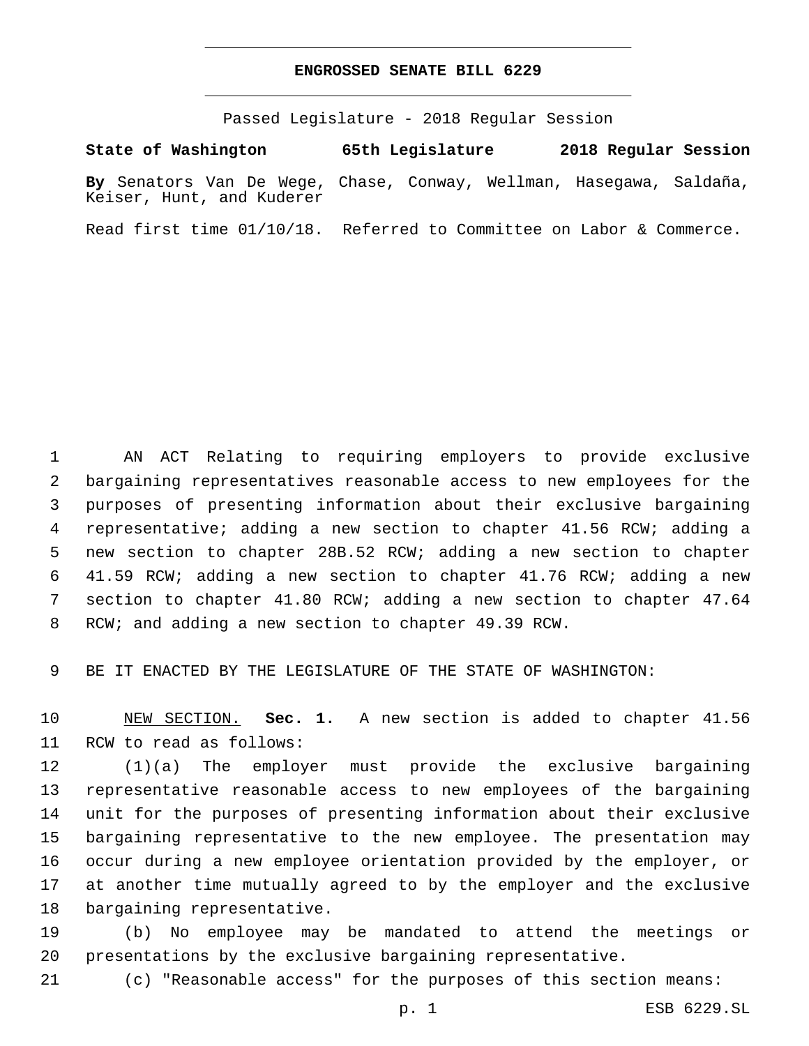# **ENGROSSED SENATE BILL 6229**

Passed Legislature - 2018 Regular Session

**State of Washington 65th Legislature 2018 Regular Session By** Senators Van De Wege, Chase, Conway, Wellman, Hasegawa, Saldaña, Keiser, Hunt, and Kuderer

Read first time 01/10/18. Referred to Committee on Labor & Commerce.

 AN ACT Relating to requiring employers to provide exclusive bargaining representatives reasonable access to new employees for the purposes of presenting information about their exclusive bargaining representative; adding a new section to chapter 41.56 RCW; adding a new section to chapter 28B.52 RCW; adding a new section to chapter 41.59 RCW; adding a new section to chapter 41.76 RCW; adding a new section to chapter 41.80 RCW; adding a new section to chapter 47.64 RCW; and adding a new section to chapter 49.39 RCW.

BE IT ENACTED BY THE LEGISLATURE OF THE STATE OF WASHINGTON:

 NEW SECTION. **Sec. 1.** A new section is added to chapter 41.56 11 RCW to read as follows:

 (1)(a) The employer must provide the exclusive bargaining representative reasonable access to new employees of the bargaining unit for the purposes of presenting information about their exclusive bargaining representative to the new employee. The presentation may occur during a new employee orientation provided by the employer, or at another time mutually agreed to by the employer and the exclusive 18 bargaining representative.

 (b) No employee may be mandated to attend the meetings or presentations by the exclusive bargaining representative.

(c) "Reasonable access" for the purposes of this section means: